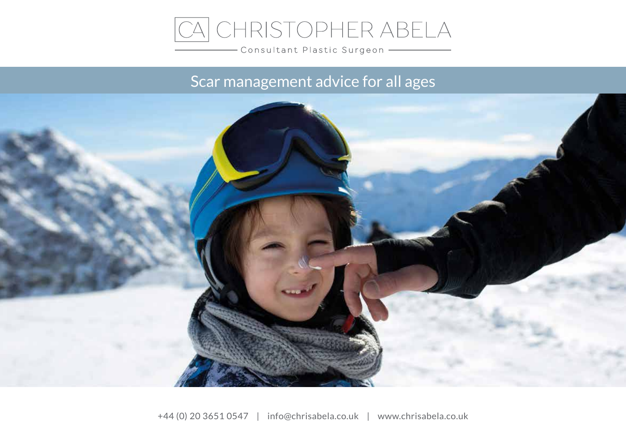

Consultant Plastic Surgeon -

# Scar management advice for all ages

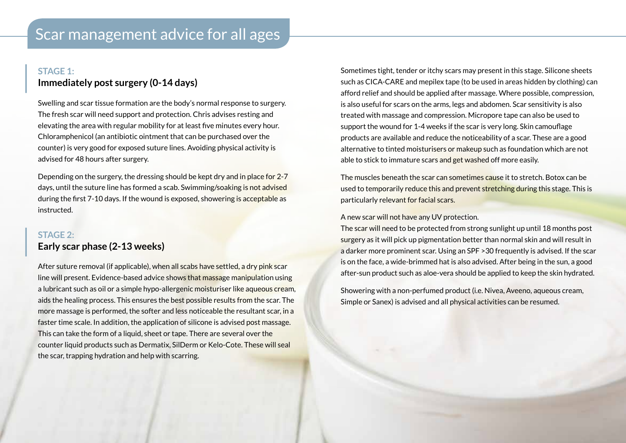# **STAGE 1: Immediately post surgery (0-14 days)**

Swelling and scar tissue formation are the body's normal response to surgery. The fresh scar will need support and protection. Chris advises resting and elevating the area with regular mobility for at least fve minutes every hour. Chloramphenicol (an antibiotic ointment that can be purchased over the counter) is very good for exposed suture lines. Avoiding physical activity is advised for 48 hours after surgery.

Depending on the surgery, the dressing should be kept dry and in place for 2-7 days, until the suture line has formed a scab. Swimming/soaking is not advised during the frst 7-10 days. If the wound is exposed, showering is acceptable as instructed.

# **STAGE 2: Early scar phase (2-13 weeks)**

After suture removal (if applicable), when all scabs have settled, a dry pink scar line will present. Evidence-based advice shows that massage manipulation using a lubricant such as oil or a simple hypo-allergenic moisturiser like aqueous cream, aids the healing process. This ensures the best possible results from the scar. The more massage is performed, the softer and less noticeable the resultant scar, in a faster time scale. In addition, the application of silicone is advised post massage. This can take the form of a liquid, sheet or tape. There are several over the counter liquid products such as Dermatix, SilDerm or Kelo-Cote. These will seal the scar, trapping hydration and help with scarring.

Sometimes tight, tender or itchy scars may present in this stage. Silicone sheets such as CICA-CARE and mepilex tape (to be used in areas hidden by clothing) can afford relief and should be applied after massage. Where possible, compression, is also useful for scars on the arms, legs and abdomen. Scar sensitivity is also treated with massage and compression. Micropore tape can also be used to support the wound for 1-4 weeks if the scar is very long. Skin camoufage products are available and reduce the noticeability of a scar. These are a good alternative to tinted moisturisers or makeup such as foundation which are not able to stick to immature scars and get washed off more easily.

The muscles beneath the scar can sometimes cause it to stretch. Botox can be used to temporarily reduce this and prevent stretching during this stage. This is particularly relevant for facial scars.

#### A new scar will not have any UV protection.

The scar will need to be protected from strong sunlight up until 18 months post surgery as it will pick up pigmentation better than normal skin and will result in a darker more prominent scar. Using an SPF >30 frequently is advised. If the scar is on the face, a wide-brimmed hat is also advised. After being in the sun, a good after-sun product such as aloe-vera should be applied to keep the skin hydrated.

Showering with a non-perfumed product (i.e. Nivea, Aveeno, aqueous cream, Simple or Sanex) is advised and all physical activities can be resumed.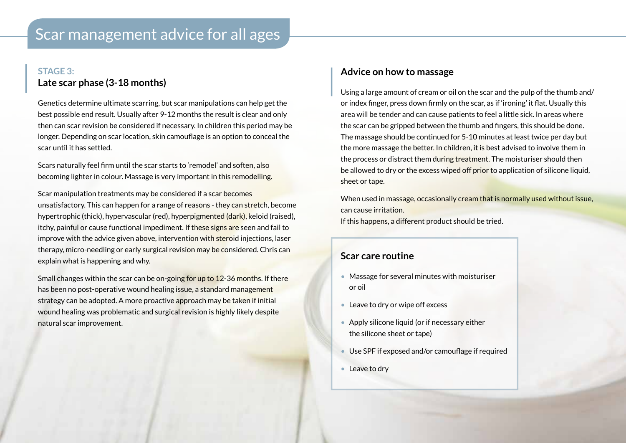# **STAGE 3: Late scar phase (3-18 months)**

Genetics determine ultimate scarring, but scar manipulations can help get the best possible end result. Usually after 9-12 months the result is clear and only then can scar revision be considered if necessary. In children this period may be longer. Depending on scar location, skin camoufage is an option to conceal the scar until it has settled.

Scars naturally feel frm until the scar starts to 'remodel' and soften, also becoming lighter in colour. Massage is very important in this remodelling.

Scar manipulation treatments may be considered if a scar becomes unsatisfactory. This can happen for a range of reasons - they can stretch, become hypertrophic (thick), hypervascular (red), hyperpigmented (dark), keloid (raised), itchy, painful or cause functional impediment. If these signs are seen and fail to improve with the advice given above, intervention with steroid injections, laser therapy, micro-needling or early surgical revision may be considered. Chris can explain what is happening and why.

Small changes within the scar can be on-going for up to 12-36 months. If there has been no post-operative wound healing issue, a standard management strategy can be adopted. A more proactive approach may be taken if initial wound healing was problematic and surgical revision is highly likely despite natural scar improvement.

#### **Advice on how to massage**

Using a large amount of cream or oil on the scar and the pulp of the thumb and/ or index fnger, press down frmly on the scar, as if 'ironing' it fat. Usually this area will be tender and can cause patients to feel a little sick. In areas where the scar can be gripped between the thumb and fngers, this should be done. The massage should be continued for 5-10 minutes at least twice per day but the more massage the better. In children, it is best advised to involve them in the process or distract them during treatment. The moisturiser should then be allowed to dry or the excess wiped off prior to application of silicone liquid, sheet or tape.

When used in massage, occasionally cream that is normally used without issue, can cause irritation. If this happens, a different product should be tried.

## **Scar care routine**

- Massage for several minutes with moisturiser or oil
- Leave to dry or wipe off excess
- Apply silicone liquid (or if necessary either the silicone sheet or tape)
- Use SPF if exposed and/or camoufage if required
- Leave to dry